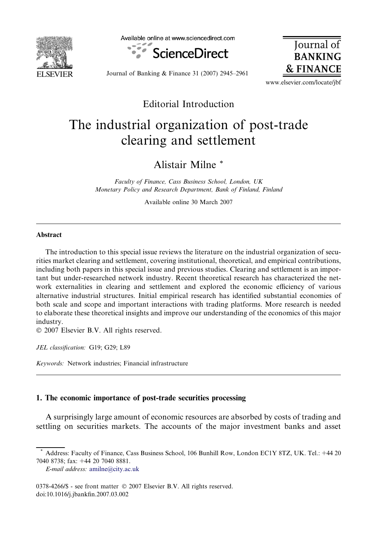

Available online at www.sciencedirect.com



**Iournal BANKING & FINANCE** 

Journal of Banking & Finance 31 (2007) 2945–2961

www.elsevier.com/locate/jbf

### Editorial Introduction

# The industrial organization of post-trade clearing and settlement

Alistair Milne \*

Faculty of Finance, Cass Business School, London, UK Monetary Policy and Research Department, Bank of Finland, Finland

Available online 30 March 2007

#### Abstract

The introduction to this special issue reviews the literature on the industrial organization of securities market clearing and settlement, covering institutional, theoretical, and empirical contributions, including both papers in this special issue and previous studies. Clearing and settlement is an important but under-researched network industry. Recent theoretical research has characterized the network externalities in clearing and settlement and explored the economic efficiency of various alternative industrial structures. Initial empirical research has identified substantial economies of both scale and scope and important interactions with trading platforms. More research is needed to elaborate these theoretical insights and improve our understanding of the economics of this major industry.

 $© 2007 Elsevier B.V. All rights reserved.$ 

JEL classification: G19; G29; L89

Keywords: Network industries; Financial infrastructure

#### 1. The economic importance of post-trade securities processing

A surprisingly large amount of economic resources are absorbed by costs of trading and settling on securities markets. The accounts of the major investment banks and asset

<sup>\*</sup> Address: Faculty of Finance, Cass Business School, 106 Bunhill Row, London EC1Y 8TZ, UK. Tel.: +44 20 7040 8738; fax: +44 20 7040 8881.

E-mail address: [amilne@city.ac.uk](mailto:amilne@city.ac.uk)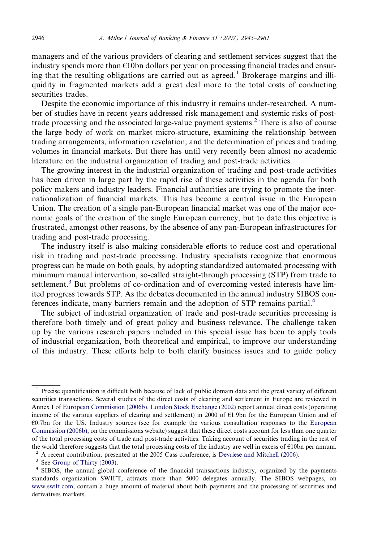managers and of the various providers of clearing and settlement services suggest that the industry spends more than  $\epsilon$ 10bn dollars per year on processing financial trades and ensuring that the resulting obligations are carried out as agreed.<sup>1</sup> Brokerage margins and illiquidity in fragmented markets add a great deal more to the total costs of conducting securities trades.

Despite the economic importance of this industry it remains under-researched. A number of studies have in recent years addressed risk management and systemic risks of posttrade processing and the associated large-value payment systems.<sup>2</sup> There is also of course the large body of work on market micro-structure, examining the relationship between trading arrangements, information revelation, and the determination of prices and trading volumes in financial markets. But there has until very recently been almost no academic literature on the industrial organization of trading and post-trade activities.

The growing interest in the industrial organization of trading and post-trade activities has been driven in large part by the rapid rise of these activities in the agenda for both policy makers and industry leaders. Financial authorities are trying to promote the internationalization of financial markets. This has become a central issue in the European Union. The creation of a single pan-European financial market was one of the major economic goals of the creation of the single European currency, but to date this objective is frustrated, amongst other reasons, by the absence of any pan-European infrastructures for trading and post-trade processing.

The industry itself is also making considerable efforts to reduce cost and operational risk in trading and post-trade processing. Industry specialists recognize that enormous progress can be made on both goals, by adopting standardized automated processing with minimum manual intervention, so-called straight-through processing (STP) from trade to settlement.<sup>3</sup> But problems of co-ordination and of overcoming vested interests have limited progress towards STP. As the debates documented in the annual industry SIBOS conferences indicate, many barriers remain and the adoption of STP remains partial.<sup>4</sup>

The subject of industrial organization of trade and post-trade securities processing is therefore both timely and of great policy and business relevance. The challenge taken up by the various research papers included in this special issue has been to apply tools of industrial organization, both theoretical and empirical, to improve our understanding of this industry. These efforts help to both clarify business issues and to guide policy

<sup>&</sup>lt;sup>1</sup> Precise quantification is difficult both because of lack of public domain data and the great variety of different securities transactions. Several studies of the direct costs of clearing and settlement in Europe are reviewed in Annex I of [European Commission \(2006b\).](#page--1-0) [London Stock Exchange \(2002\)](#page--1-0) report annual direct costs (operating income of the various suppliers of clearing and settlement) in 2000 of €1.9bn for the European Union and of €0.7bn for the US. Industry sources (see for example the various consultation responses to the [European](#page--1-0) [Commission \(2006b\),](#page--1-0) on the commissions website) suggest that these direct costs account for less than one quarter of the total processing costs of trade and post-trade activities. Taking account of securities trading in the rest of the world therefore suggests that the total processing costs of the industry are well in excess of €10bn per annum.<br><sup>2</sup> A recent contribution, presented at the 2005 Cass conference, is [Devriese and Mitchell \(2006\).](#page--1-0)<br><sup>3</sup> See

standards organization SWIFT, attracts more than 5000 delegates annually. The SIBOS webpages, on [www.swift.com,](http://www.swift.com) contain a huge amount of material about both payments and the processing of securities and derivatives markets.